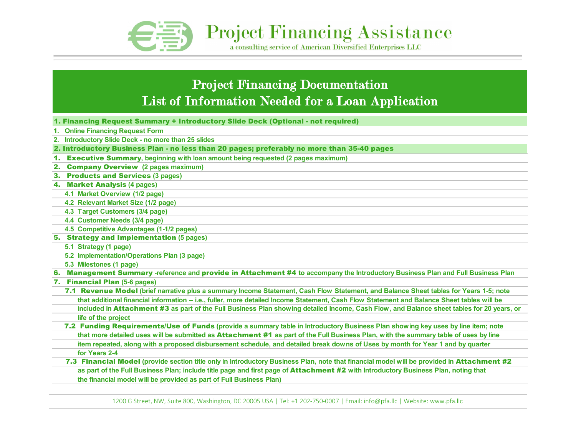

**Project Financing Assistance** 

a consulting service of American Diversified Enterprises LLC

## Project Financing Documentation List of Information Needed for a Loan Application

- 1. Financing Request Summary + Introductory Slide Deck (Optional not required)
- **1. Online Financing Request Form**
- **2. Introductory Slide Deck no more than 25 slides**

2. Introductory Business Plan - no less than 20 pages; preferably no more than 35-40 pages

- 1. Executive Summary**, beginning with loan amount being requested (2 pages maximum)**
- 2. Company Overview **(2 pages maximum)**
- 3. Products and Services **(3 pages)**
- 4. Market Analysis **(4 pages)**
	- **4.1 Market Overview (1/2 page)**
	- **4.2 Relevant Market Size (1/2 page)**
	- **4.3 Target Customers (3/4 page)**
	- **4.4 Customer Needs (3/4 page)**
	- **4.5 Competitive Advantages (1-1/2 pages)**
- 5. Strategy and Implementation **(5 pages)**
	- **5.1 Strategy (1 page)**
	- **5.2 Implementation/Operations Plan (3 page)**
	- **5.3 Milestones (1 page)**
- 6. Management Summary **-reference and** provide in Attachment #4 **to accompany the Introductory Business Plan and Full Business Plan**
- 7. Financial Plan **(5-6 pages)**
	- 7.1 Revenue Model **(brief narrative plus a summary Income Statement, Cash Flow Statement, and Balance Sheet tables for Years 1-5; note that additional financial information -- i.e., fuller, more detailed Income Statement, Cash Flow Statement and Balance Sheet tables will be**
	- **life of the project included in** Attachment #3 **as part of the Full Business Plan showing detailed Income, Cash Flow, and Balance sheet tables for 20 years, or**
- **for Years 2-4 item repeated, along with a proposed disbursement schedule, and detailed break downs of Uses by month for Year 1 and by quarter**  7.2 Funding Requirements/Use of Funds **(provide a summary table in Introductory Business Plan showing key uses by line item; note that more detailed uses will be submitted as** Attachment #1 **as part of the Full Business Plan, with the summary table of uses by line**
- **the financial model will be provided as part of Full Business Plan)** 7.3 Financial Model **(provide section title only in Introductory Business Plan, note that financial model will be provided in** Attachment #2  **as part of the Full Business Plan; include title page and first page of** Attachment #2 **with Introductory Business Plan, noting that**

1200 G Street, NW, Suite 800, Washington, DC 20005 USA | Tel: +1 202-750-0007 | Email: info@pfa.llc | Website: www.pfa.llc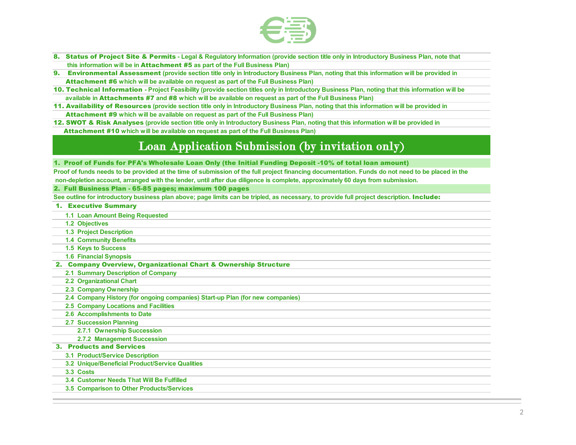

- **8. Status of Project Site & Permits** Legal & Regulatory Information (provide section title only in Introductory Business Plan, note that<br>**8. Status of Project Site & Permits** Legal & Regulatory Information (provide se  **this information will be in** Attachment #5 **as part of the Full Business Plan)**
- 9. Environmental Assessment **(provide section title only in Introductory Business Plan, noting that this information will be provided in** Attachment #6 **which will be available on request as part of the Full Business Plan)**
- 10. Technical Information  **Project Feasibility (provide section titles only in Introductory Business Plan, noting that this information will be available in** Attachments #7 **and** #8 **which will be available on request as part of the Full Business Plan)**
- 11. Availability of Resources **(provide section title only in Introductory Business Plan, noting that this information will be provided in** Attachment #9 **which will be available on request as part of the Full Business Plan)**
- 12. SWOT & Risk Analyses **(provide section title only in Introductory Business Plan, noting that this information will be provided in** Attachment #10 **which will be available on request as part of the Full Business Plan)**

### Loan Application Submission (by invitation only)

1. Proof of Funds for PFA's Wholesale Loan Only (the Initial Funding Deposit -10% of total loan amount)

 **non-depletion account, arranged with the lender, until after due diligence is complete, approximately 60 days from submission. Proof of funds needs to be provided at the time of submission of the full project financing documentation. Funds do not need to be placed in the**

2. Full Business Plan - 65-85 pages; maximum 100 pages

See outline for introductory business plan above; page limits can be tripled, as necessary, to provide full project description. **Include:** 

| <b>1. Executive Summary</b>                                                   |
|-------------------------------------------------------------------------------|
| 1.1 Loan Amount Being Requested                                               |
| 1.2 Objectives                                                                |
| <b>1.3 Project Description</b>                                                |
| <b>1.4 Community Benefits</b>                                                 |
| 1.5 Keys to Success                                                           |
| <b>1.6 Financial Synopsis</b>                                                 |
| 2. Company Overview, Organizational Chart & Ownership Structure               |
| 2.1 Summary Description of Company                                            |
| 2.2 Organizational Chart                                                      |
| 2.3 Company Ownership                                                         |
| 2.4 Company History (for ongoing companies) Start-up Plan (for new companies) |
| 2.5 Company Locations and Facilities                                          |
| 2.6 Accomplishments to Date                                                   |
| <b>2.7 Succession Planning</b>                                                |
| 2.7.1 Ownership Succession                                                    |
| 2.7.2 Management Succession                                                   |
| <b>3. Products and Services</b>                                               |
| <b>3.1 Product/Service Description</b>                                        |
| 3.2 Unique/Beneficial Product/Service Qualities                               |
| 3.3 Costs                                                                     |
| 3.4 Customer Needs That Will Be Fulfilled                                     |
| 3.5 Comparison to Other Products/Services                                     |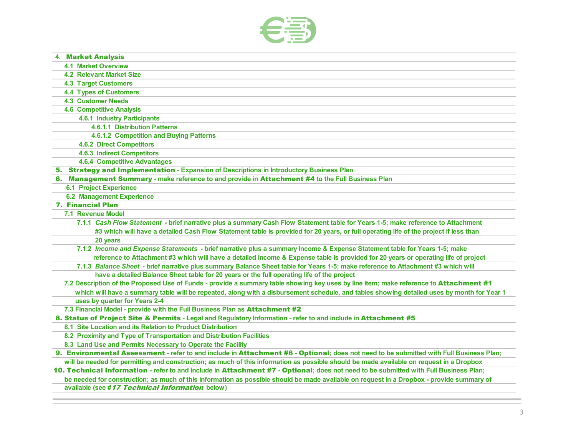

| <b>4. Market Analysis</b>           |                                                                                                                                            |
|-------------------------------------|--------------------------------------------------------------------------------------------------------------------------------------------|
| <b>4.1 Market Overview</b>          |                                                                                                                                            |
| <b>4.2 Relevant Market Size</b>     |                                                                                                                                            |
| <b>4.3 Target Customers</b>         |                                                                                                                                            |
| <b>4.4 Types of Customers</b>       |                                                                                                                                            |
| <b>4.3 Customer Needs</b>           |                                                                                                                                            |
| <b>4.6 Competitive Analysis</b>     |                                                                                                                                            |
| <b>4.6.1 Industry Participants</b>  |                                                                                                                                            |
|                                     | <b>4.6.1.1 Distribution Patterns</b>                                                                                                       |
|                                     | 4.6.1.2 Competition and Buying Patterns                                                                                                    |
| <b>4.6.2 Direct Competitors</b>     |                                                                                                                                            |
| <b>4.6.3 Indirect Competitors</b>   |                                                                                                                                            |
| <b>4.6.4 Competitive Advantages</b> |                                                                                                                                            |
|                                     | 5. Strategy and Implementation - Expansion of Descriptions in Introductory Business Plan                                                   |
|                                     | 6. Management Summary - make reference to and provide in Attachment #4 to the Full Business Plan                                           |
| <b>6.1 Project Experience</b>       |                                                                                                                                            |
| <b>6.2 Management Experience</b>    |                                                                                                                                            |
| <b>7. Financial Plan</b>            |                                                                                                                                            |
| <b>7.1 Revenue Model</b>            |                                                                                                                                            |
|                                     | 7.1.1 Cash Flow Statement - brief narrative plus a summary Cash Flow Statement table for Years 1-5; make reference to Attachment           |
|                                     | #3 which will have a detailed Cash Flow Statement table is provided for 20 years, or full operating life of the project if less than       |
| 20 years                            |                                                                                                                                            |
|                                     | 7.1.2 Income and Expense Statements - brief narrative plus a summary Income & Expense Statement table for Years 1-5; make                  |
|                                     | reference to Attachment #3 which will have a detailed Income & Expense table is provided for 20 years or operating life of project         |
|                                     | 7.1.3 Balance Sheet - brief narrative plus summary Balance Sheet table for Years 1-5; make reference to Attachment #3 which will           |
|                                     | have a detailed Balance Sheet table for 20 years or the full operating life of the project                                                 |
|                                     | 7.2 Description of the Proposed Use of Funds - provide a summary table showing key uses by line item; make reference to Attachment #1      |
|                                     | which will have a summary table will be repeated, along with a disbursement schedule, and tables showing detailed uses by month for Year 1 |
| uses by quarter for Years 2-4       |                                                                                                                                            |
|                                     | 7.3 Financial Model - provide with the Full Business Plan as Attachment #2                                                                 |
|                                     | 8. Status of Project Site & Permits - Legal and Regulatory Information - refer to and include in Attachment #5                             |
|                                     | 8.1 Site Location and its Relation to Product Distribution                                                                                 |
|                                     | 8.2 Proximity and Type of Transportation and Distribution Facilities                                                                       |
|                                     | 8.3 Land Use and Permits Necessary to Operate the Facility                                                                                 |
|                                     | 9. Environmental Assessment - refer to and include in Attachment #6 - Optional; does not need to be submitted with Full Business Plan;     |
|                                     | will be needed for permitting and construction; as much of this information as possible should be made available on request in a Dropbox   |
|                                     | 10. Technical Information - refer to and include in Attachment #7 - Optional; does not need to be submitted with Full Business Plan;       |
|                                     | be needed for construction; as much of this information as possible should be made available on request in a Dropbox - provide summary of  |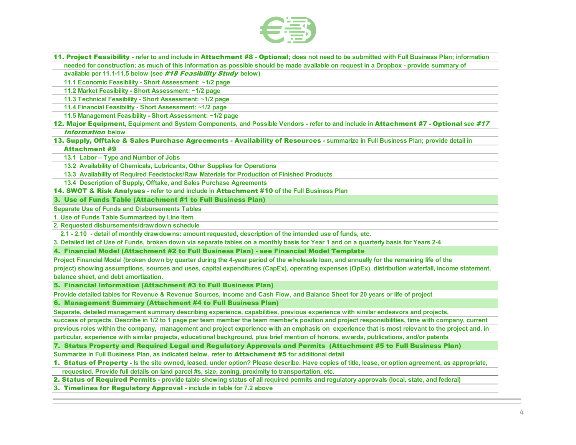

 11. Project Feasibility **- refer to and include in** Attachment #8 **-** Optional**; does not need to be submitted with Full Business Plan; information needed for construction; as much of this information as possible should be made available on request in a Dropbox - provide summary of** 

 **available per 11.1-11.5 below (see** #18 Feasibility Study **below)**

 **11.1 Economic Feasibility - Short Assessment: ~1/2 page** 

 **11.2 Market Feasibility - Short Assessment: ~1/2 page** 

 **11.3 Technical Feasibility - Short Assessment: ~1/2 page** 

 **11.4 Financial Feasibility - Short Assessment: ~1/2 page** 

 **11.5 Management Feasibility - Short Assessment: ~1/2 page** 

12. Major Equipmen**t, Equipment and System Components, and Possible Vendors - refer to and include in** Attachment #7 **-** Optional **see** #17 Information **below**

13. Supply, Offtake & Sales Purchase Agreements - Availability of Resources **- summarize in Full Business Plan; provide detail in** 

#### Attachment #9

 **13.1 Labor – Type and Number of Jobs**

 **13.2 Availability of Chemicals, Lubricants, Other Supplies for Operations**

 **13.3 Availability of Required Feedstocks/Raw Materials for Production of Finished Products**

 **13.4 Description of Supply, Offtake, and Sales Purchase Agreements**

14. SWOT & Risk Analyses **- refer to and include in** Attachment #10 **of the Full Business Plan**

3. Use of Funds Table (Attachment #1 to Full Business Plan)

**Separate Use of Funds and Disbursements Tables**

**1. Use of Funds Table Summarized by Line Item**

**2. Requested disbursements/drawdown schedule**

 **2.1 - 2.10 - detail of monthly drawdowns: amount requested, description of the intended use of funds, etc.**

**3. Detailed list of Use of Funds, broken down via separate tables on a monthly basis for Year 1 and on a quarterly basis for Years 2-4**

4. Financial Model (Attachment #2 to Full Business Plan) - see Financial Model Template

**balance sheet, and debt amortization. Project Financial Model (broken down by quarter during the 4-year period of the wholesale loan, and annually for the remaining life of the project) showing assumptions, sources and uses, capital expenditures (CapEx), operating expenses (OpEx), distribution waterfall, income statement,** 

5. Financial Information (Attachment #3 to Full Business Plan)

**Provide detailed tables for Revenue & Revenue Sources, Income and Cash Flow, and Balance Sheet for 20 years or life of project**

6. Management Summary (Attachment #4 to Full Business Plan)

**Separate, detailed management summary describing experience, capabilities, previous experience with similar endeavors and projects,** 

**previous roles within the company, management and project experience with an emphasis on experience that is most relevant to the project and, in particular, experience with similar projects, educational background, plus brief mention of honors, awards, publications, and/or patents success of projects. Describe in 1/2 to 1 page per team member the team member's position and project responsibilities, time with company, current** 

7. Status Property and Required Legal and Regulatory Approvals and Permits (Attachment #5 to Full Business Plan)

**Summarize in Full Business Plan, as indicated below, refer to** Attachment #5 **for additional detail**

 **requested. Provide full details on land parcel #s, size, zoning, proximity to transportation, etc.** 1. Status of Property **- Is the site owned, leased, under option? Please describe. Have copies of title, lease, or option agreement, as appropriate,** 

2. Status of Required Permits **- provide table showing status of all required permits and regulatory approvals (local, state, and federal)**

3. Timelines for Regulatory Approval **- include in table for 7.2 above**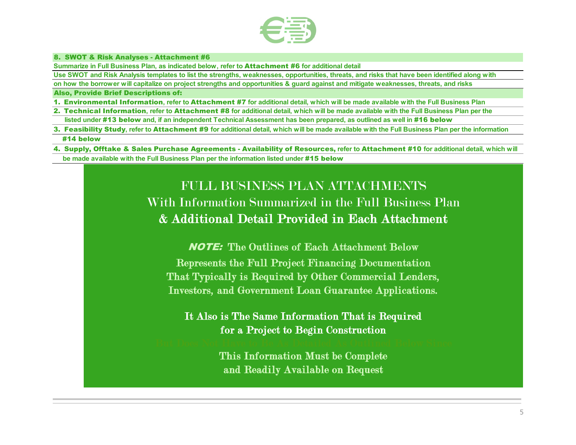

# 8. SWOT & Risk Analyses - Attachment #6

**Summarize in Full Business Plan, as indicated below, refer to** Attachment #6 **for additional detail**

**Use SWOT and Risk Analysis templates to list the strengths, weaknesses, opportunities, threats, and risks that have been identified along with** 

**on how the borrower will capitalize on project strengths and opportunities & guard against and mitigate weaknesses, threats, and risks**

#### Also, Provide Brief Descriptions of:

- 1.Environmental Information**, refer to** Attachment #7 **for additional detail, which will be made available with the Full Business Plan**
- 2.Technical Information**, refer to** Attachment #8 **for additional detail, which will be made available with the Full Business Plan per the**  listed under #13 below and, if an independent Technical Assessment has been prepared, as outlined as well in #16 below
- 3. Feasibility Study**, refer to** Attachment #9 **for additional detail, which will be made available with the Full Business Plan per the information**  #14 below
- 4. Supply, Offtake & Sales Purchase Agreements Availability of Resources, **refer to** Attachment #10 **for additional detail, which will be made available with the Full Business Plan per the information listed under** #15 below

## FULL BUSINESS PLAN ATTACHMENTS With Information Summarized in the Full Business Plan & Additional Detail Provided in Each Attachment

NOTE: The Outlines of Each Attachment Below Represents the Full Project Financing Documentation That Typically is Required by Other Commercial Lenders, Investors, and Government Loan Guarantee Applications.

It Also is The Same Information That is Required for a Project to Begin Construction

> This Information Must be Complete and Readily Available on Request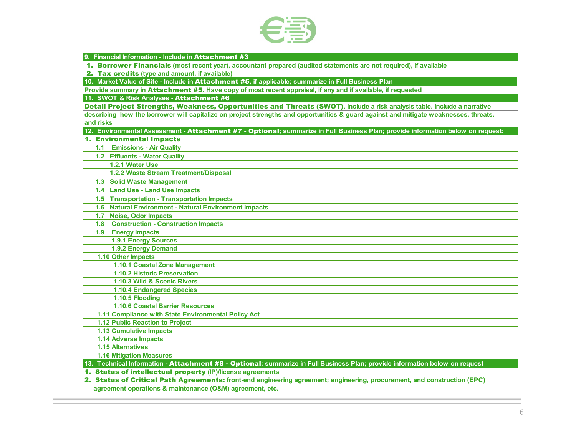

**9. Financial Information - Include in** Attachment #3

1. Borrower Financials **(most recent year), accountant prepared (audited statements are not required), if available**

2. Tax credits **(type and amount, if available)**

**10. Market Value of Site - Include in** Attachment #5**, if applicable; summarize in Full Business Plan**

**Provide summary in** Attachment #5**. Have copy of most recent appraisal, if any and if available, if requested**

**11. SWOT & Risk Analyses -** Attachment #6

Detail Project Strengths, Weakness, Opportunities and Threats (SWOT)**. Include a risk analysis table. Include a narrative** 

**describing how the borrower will capitalize on project strengths and opportunities & guard against and mitigate weaknesses, threats, and risks**

**12. Environmental Assessment -** Attachment #7 - Optional**; summarize in Full Business Plan; provide information below on request:**

1. Environmental Impacts

 **1.1 Emissions - Air Quality**

 **1.2 Effluents - Water Quality**

 **1.2.1 Water Use**

 **1.2.2 Waste Stream Treatment/Disposal**

 **1.3 Solid Waste Management**

 **1.4 Land Use - Land Use Impacts**

 **1.5 Transportation - Transportation Impacts**

 **1.6 Natural Environment - Natural Environment Impacts**

 **1.7 Noise, Odor Impacts**

 **1.8 Construction - Construction Impacts**

 **1.9 Energy Impacts**

 **1.9.1 Energy Sources**

 **1.9.2 Energy Demand**

 **1.10 Other Impacts**

 **1.10.1 Coastal Zone Management**

 **1.10.2 Historic Preservation**

 **1.10.3 Wild & Scenic Rivers**

 **1.10.4 Endangered Species**

 **1.10.5 Flooding**

 **1.10.6 Coastal Barrier Resources**

 **1.11 Compliance with State Environmental Policy Act**

 **1.12 Public Reaction to Project**

 **1.13 Cumulative Impacts**

 **1.14 Adverse Impacts**

 **1.15 Alternatives**

 **1.16 Mitigation Measures**

**13. Technical Information -** Attachment #8 - Optional**; summarize in Full Business Plan; provide information below on request**

1. Status of intellectual property **(IP)/license agreements**

2. Status of Critical Path Agreements: **front-end engineering agreement; engineering, procurement, and construction (EPC)** 

 **agreement operations & maintenance (O&M) agreement, etc.**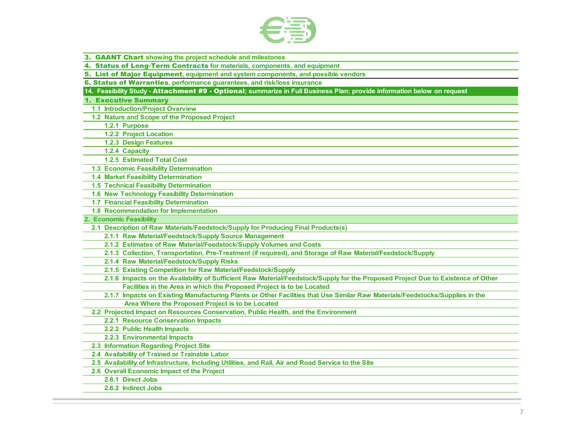

| 3. GAANT Chart showing the project schedule and milestones                                                                       |
|----------------------------------------------------------------------------------------------------------------------------------|
| 4. Status of Long-Term Contracts for materials, components, and equipment                                                        |
| 5. List of Major Equipment, equipment and system components, and possible vendors                                                |
| 6. Status of Warranties, performance guarantees, and risk/loss insurance                                                         |
| 14. Feasibility Study - Attachment #9 - Optional; summarize in Full Business Plan; provide information below on request          |
| <b>1. Executive Summary</b>                                                                                                      |
| 1.1 Introduction/Project Overview                                                                                                |
| 1.2 Nature and Scope of the Proposed Project                                                                                     |
| 1.2.1 Purpose                                                                                                                    |
| 1.2.2 Project Location                                                                                                           |
| 1.2.3 Design Features                                                                                                            |
| 1.2.4 Capacity                                                                                                                   |
| 1.2.5 Estimated Total Cost                                                                                                       |
| 1.3 Economic Feasibility Determination                                                                                           |
| 1.4 Market Feasibility Determination                                                                                             |
| <b>1.5 Technical Feasibility Determination</b>                                                                                   |
| 1.6 New Technology Feasibility Determination                                                                                     |
| 1.7 Financial Feasibility Determination                                                                                          |
| 1.8 Recommendation for Implementation                                                                                            |
| 2. Economic Feasibility                                                                                                          |
| 2.1 Description of Raw Materials/Feedstock/Supply for Producing Final Products(s)                                                |
| 2.1.1 Raw Material/Feedstock/Supply Source Management                                                                            |
| 2.1.2 Estimates of Raw Material/Feedstock/Supply Volumes and Costs                                                               |
| 2.1.3 Collection, Transportation, Pre-Treatment (if required), and Storage of Raw Material/Feedstock/Supply                      |
| 2.1.4 Raw Material/Feedstock/Supply Risks                                                                                        |
| 2.1.5 Existing Competition for Raw Material/Feedstock/Supply                                                                     |
| 2.1.6 Impacts on the Availability of Sufficient Raw Material/Feedstock/Supply for the Proposed Project Due to Existence of Other |
| Facilities in the Area in which the Proposed Project is to be Located                                                            |
| 2.1.7 Impacts on Existing Manufacturing Plants or Other Facilities that Use Similar Raw Materials/Feedstocks/Supplies in the     |
| Area Where the Proposed Project is to be Located                                                                                 |
| 2.2 Projected Impact on Resources Conservation, Public Health, and the Environment                                               |
| 2.2.1 Resource Conservation Impacts                                                                                              |
| 2.2.2 Public Health Impacts                                                                                                      |
| 2.2.3 Environmental Impacts                                                                                                      |
| 2.3 Information Regarding Project Site                                                                                           |
| 2.4 Availability of Trained or Trainable Labor                                                                                   |
| 2.5 Availability of Infrastructure, Including Utilities, and Rail, Air and Road Service to the Site                              |
| 2.6 Overall Economic Impact of the Project                                                                                       |
| 2.6.1 Direct Jobs                                                                                                                |
| 2.6.2 Indirect Jobs                                                                                                              |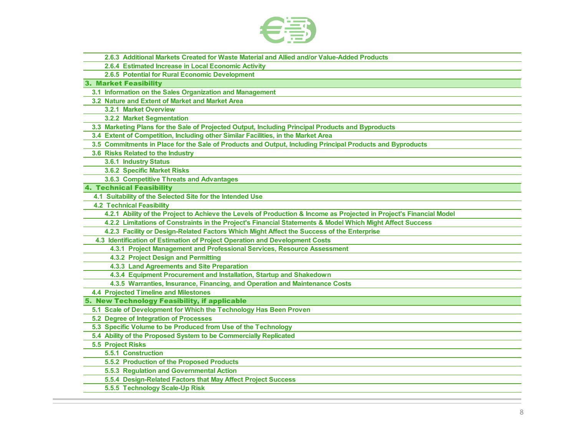

 **2.6.3 Additional Markets Created for Waste Material and Allied and/or Value-Added Products**

 **2.6.4 Estimated Increase in Local Economic Activity**

 **2.6.5 Potential for Rural Economic Development**

3. Market Feasibility

 **3.1 Information on the Sales Organization and Management**

 **3.2 Nature and Extent of Market and Market Area** 

 **3.2.1 Market Overview**

 **3.2.2 Market Segmentation**

 **3.3 Marketing Plans for the Sale of Projected Output, Including Principal Products and Byproducts**

 **3.4 Extent of Competition, Including other Similar Facilities, in the Market Area**

 **3.5 Commitments in Place for the Sale of Products and Output, Including Principal Products and Byproducts**

 **3.6 Risks Related to the Industry**

 **3.6.1 Industry Status**

 **3.6.2 Specific Market Risks** 

 **3.6.3 Competitive Threats and Advantages**

4. Technical Feasibility

 **4.1 Suitability of the Selected Site for the Intended Use**

 **4.2 Technical Feasibility**

 **4.2.1 Ability of the Project to Achieve the Levels of Production & Income as Projected in Project's Financial Model**

 **4.2.2 Limitations of Constraints in the Project's Financial Statements & Model Which Might Affect Success** 

 **4.2.3 Facility or Design-Related Factors Which Might Affect the Success of the Enterprise**

 **4.3 Identification of Estimation of Project Operation and Development Costs**

 **4.3.1 Project Management and Professional Services, Resource Assessment**

 **4.3.2 Project Design and Permitting**

 **4.3.3 Land Agreements and Site Preparation**

 **4.3.4 Equipment Procurement and Installation, Startup and Shakedown**

 **4.3.5 Warranties, Insurance, Financing, and Operation and Maintenance Costs** 

 **4.4 Projected Timeline and Milestones**

5. New Technology Feasibility, if applicable

 **5.1 Scale of Development for Which the Technology Has Been Proven**

 **5.2 Degree of Integration of Processes**

 **5.3 Specific Volume to be Produced from Use of the Technology**

 **5.4 Ability of the Proposed System to be Commercially Replicated**

 **5.5 Project Risks**

 **5.5.1 Construction**

 **5.5.2 Production of the Proposed Products**

 **5.5.3 Regulation and Governmental Action**

 **5.5.4 Design-Related Factors that May Affect Project Success**

 **5.5.5 Technology Scale-Up Risk**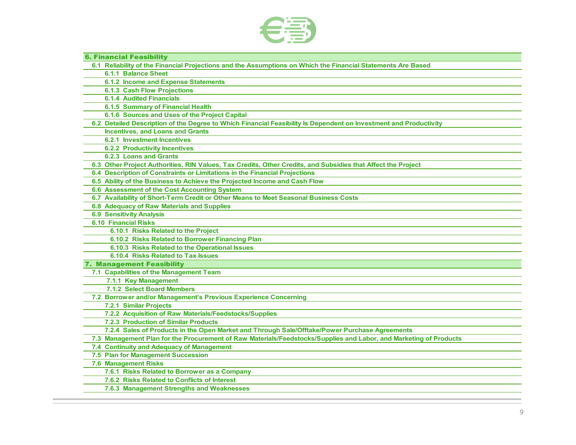

| <b>6. Financial Feasibility</b>                                                                                   |
|-------------------------------------------------------------------------------------------------------------------|
| 6.1 Reliability of the Financial Projections and the Assumptions on Which the Financial Statements Are Based      |
| <b>6.1.1 Balance Sheet</b>                                                                                        |
| <b>6.1.2 Income and Expense Statements</b>                                                                        |
| <b>6.1.3 Cash Flow Projections</b>                                                                                |
| <b>6.1.4 Audited Financials</b>                                                                                   |
| 6.1.5 Summary of Financial Health                                                                                 |
| 6.1.6 Sources and Uses of the Project Capital                                                                     |
| 6.2 Detailed Description of the Degree to Which Financial Feasibility Is Dependent on Investment and Productivity |
| <b>Incentives, and Loans and Grants</b>                                                                           |
| <b>6.2.1 Investment Incentives</b>                                                                                |
| <b>6.2.2 Productivity Incentives</b>                                                                              |
| <b>6.2.3 Loans and Grants</b>                                                                                     |
| 6.3 Other Project Authorities, RIN Values, Tax Credits, Other Credits, and Subsidies that Affect the Project      |
| 6.4 Description of Constraints or Limitations in the Financial Projections                                        |
| 6.5 Ability of the Business to Achieve the Projected Income and Cash Flow                                         |
| 6.6 Assessment of the Cost Accounting System                                                                      |
| 6.7 Availability of Short-Term Credit or Other Means to Meet Seasonal Business Costs                              |
| <b>6.8 Adequacy of Raw Materials and Supplies</b>                                                                 |
| <b>6.9 Sensitivity Analysis</b>                                                                                   |
| <b>6.10 Financial Risks</b>                                                                                       |
| 6.10.1 Risks Related to the Project                                                                               |
| 6.10.2 Risks Related to Borrower Financing Plan                                                                   |
| 6.10.3 Risks Related to the Operational Issues                                                                    |
| 6.10.4 Risks Related to Tax Issues                                                                                |
| 7. Management Feasibility                                                                                         |
| 7.1 Capabilities of the Management Team                                                                           |
| 7.1.1 Key Management                                                                                              |
| 7.1.2 Select Board Members                                                                                        |
| 7.2 Borrower and/or Management's Previous Experience Concerning                                                   |
| 7.2.1 Similar Projects                                                                                            |
| 7.2.2 Acquisition of Raw Materials/Feedstocks/Supplies                                                            |
| <b>7.2.3 Production of Similar Products</b>                                                                       |
| 7.2.4 Sales of Products in the Open Market and Through Sale/Offtake/Power Purchase Agreements                     |
| 7.3 Management Plan for the Procurement of Raw Materials/Feedstocks/Supplies and Labor, and Marketing of Products |
| 7.4 Continuity and Adequacy of Management                                                                         |
| 7.5 Plan for Management Succession                                                                                |
| <b>7.6 Management Risks</b>                                                                                       |
| 7.6.1 Risks Related to Borrower as a Company                                                                      |
| 7.6.2 Risks Related to Conflicts of Interest                                                                      |
| 7.6.3 Management Strengths and Weaknesses                                                                         |
|                                                                                                                   |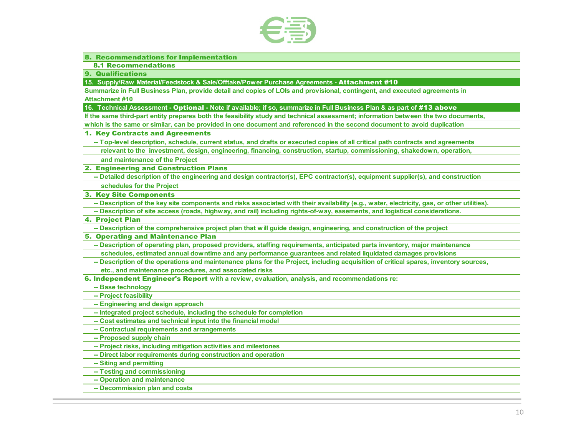

#### 8. Recommendations for Implementation

8.1 Recommendations

9. Qualifications

**15. Supply/Raw Material/Feedstock & Sale/Offtake/Power Purchase Agreements -** Attachment #10

**Summarize in Full Business Plan, provide detail and copies of LOIs and provisional, contingent, and executed agreements in Attachment #10**

**16. Technical Assessment -** Optional **- Note if available; if so, summarize in Full Business Plan & as part of** #13 above

**If the same third-part entity prepares both the feasibility study and technical assessment; information between the two documents, which is the same or similar, can be provided in one document and referenced in the second document to avoid duplication**

#### 1. Key Contracts and Agreements

 **-- Top-level description, schedule, current status, and drafts or executed copies of all critical path contracts and agreements** 

 **relevant to the investment, design, engineering, financing, construction, startup, commissioning, shakedown, operation,** 

 **and maintenance of the Project**

2. Engineering and Construction Plans

 **-- Detailed description of the engineering and design contractor(s), EPC contractor(s), equipment supplier(s), and construction schedules for the Project**

3. Key Site Components

 **-- Description of the key site components and risks associated with their availability (e.g., water, electricity, gas, or other utilities).** 

 **-- Description of site access (roads, highway, and rail) including rights-of-way, easements, and logistical considerations.**

#### 4. Project Plan

 **-- Description of the comprehensive project plan that will guide design, engineering, and construction of the project**

#### 5. Operating and Maintenance Plan

 **-- Description of operating plan, proposed providers, staffing requirements, anticipated parts inventory, major maintenance schedules, estimated annual downtime and any performance guarantees and related liquidated damages provisions**

 **-- Description of the operations and maintenance plans for the Project, including acquisition of critical spares, inventory sources,** 

 **etc., and maintenance procedures, and associated risks**

6. Independent Engineer's Report **with a review, evaluation, analysis, and recommendations re:**

 **-- Base technology**

 **-- Project feasibility**

 **-- Engineering and design approach**

 **-- Integrated project schedule, including the schedule for completion**

 **-- Cost estimates and technical input into the financial model**

 **-- Contractual requirements and arrangements**

 **-- Proposed supply chain**

 **-- Project risks, including mitigation activities and milestones**

 **-- Direct labor requirements during construction and operation**

 **-- Siting and permitting**

 **-- Testing and commissioning**

 **-- Operation and maintenance**

 **-- Decommission plan and costs**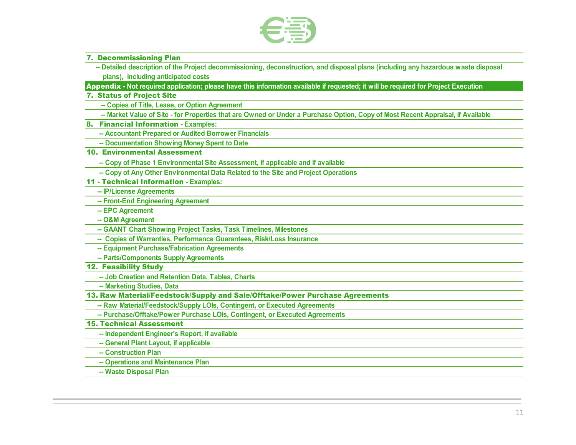

- 7. Decommissioning Plan
	- **-- Detailed description of the Project decommissioning, deconstruction, and disposal plans (including any hazardous waste disposal**
	- **plans), including anticipated costs**

Appendix **- Not required application; please have this information available if requested; it will be required for Project Execution**

#### 7. Status of Project Site

 **-- Copies of Title, Lease, or Option Agreement**

- **-- Market Value of Site for Properties that are Owned or Under a Purchase Option, Copy of Most Recent Appraisal, if Available**
- 8. Financial Information **Examples:**
	- **-- Accountant Prepared or Audited Borrower Financials**
	- **-- Documentation Showing Money Spent to Date**

#### 10. Environmental Assessment

- **-- Copy of Phase 1 Environmental Site Assessment, if applicable and if available**
- **-- Copy of Any Other Environmental Data Related to the Site and Project Operations**
- 11 Technical Information **Examples:**
	- **-- IP/License Agreements**
	- **-- Front-End Engineering Agreement**
	- **-- EPC Agreement**
	- **-- O&M Agreement**
	- **-- GAANT Chart Showing Project Tasks, Task Timelines, Milestones**
	- **-- Copies of Warranties, Performance Guarantees, Risk/Loss Insurance**
	- **-- Equipment Purchase/Fabrication Agreements**
	- **-- Parts/Components Supply Agreements**
- 12. Feasibility Study
	- **-- Job Creation and Retention Data, Tables, Charts**
	- **-- Marketing Studies, Data**
- 13. Raw Material/Feedstock/Supply and Sale/Offtake/Power Purchase Agreements
- **-- Raw Material/Feedstock/Supply LOIs, Contingent, or Executed Agreements**
- **-- Purchase/Offtake/Power Purchase LOIs, Contingent, or Executed Agreements**

#### 15. Technical Assessment

- **-- Independent Engineer's Report, if available**
- **-- General Plant Layout, if applicable**
- **-- Construction Plan**
- **-- Operations and Maintenance Plan**
- **-- Waste Disposal Plan**